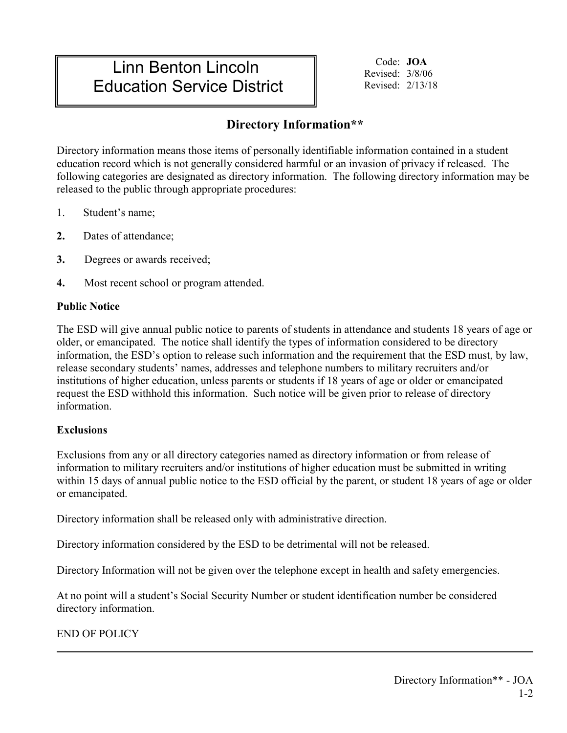# Linn Benton Lincoln Education Service District

Code: **JOA**  Revised: 3/8/06 Revised: 2/13/18

## **Directory Information\*\***

Directory information means those items of personally identifiable information contained in a student education record which is not generally considered harmful or an invasion of privacy if released. The following categories are designated as directory information. The following directory information may be released to the public through appropriate procedures:

- 1. Student's name;
- **2.** Dates of attendance;
- **3.** Degrees or awards received;
- **4.** Most recent school or program attended.

## **Public Notice**

The ESD will give annual public notice to parents of students in attendance and students 18 years of age or older, or emancipated. The notice shall identify the types of information considered to be directory information, the ESD's option to release such information and the requirement that the ESD must, by law, release secondary students' names, addresses and telephone numbers to military recruiters and/or institutions of higher education, unless parents or students if 18 years of age or older or emancipated request the ESD withhold this information. Such notice will be given prior to release of directory information.

### **Exclusions**

Exclusions from any or all directory categories named as directory information or from release of information to military recruiters and/or institutions of higher education must be submitted in writing within 15 days of annual public notice to the ESD official by the parent, or student 18 years of age or older or emancipated.

Directory information shall be released only with administrative direction.

Directory information considered by the ESD to be detrimental will not be released.

Directory Information will not be given over the telephone except in health and safety emergencies.

At no point will a student's Social Security Number or student identification number be considered directory information.

END OF POLICY